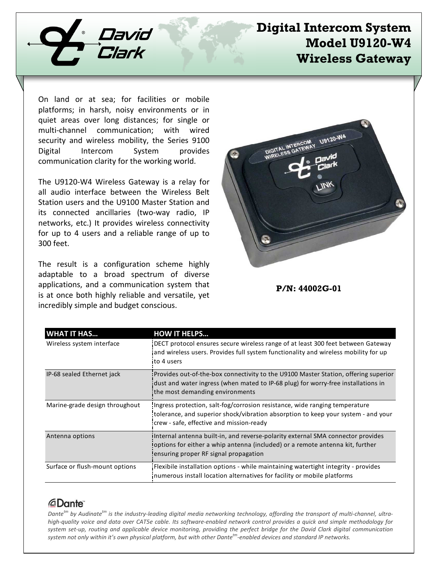

## **Digital Intercom System Model U9120-W4 Wireless Gateway**

On land or at sea; for facilities or mobile platforms; in harsh, noisy environments or in quiet areas over long distances; for single or multi-channel communication; with wired security and wireless mobility, the Series 9100 Digital Intercom System provides communication clarity for the working world.

The U9120-W4 Wireless Gateway is a relay for all audio interface between the Wireless Belt Station users and the U9100 Master Station and its connected ancillaries (two-way radio, IP networks, etc.) It provides wireless connectivity for up to 4 users and a reliable range of up to 300 feet.

The result is a configuration scheme highly adaptable to a broad spectrum of diverse applications, and a communication system that is at once both highly reliable and versatile, yet incredibly simple and budget conscious.



**P/N: 44002G-01**

| <b>WHAT IT HAS</b>             | <b>HOW IT HELPS</b>                                                                                                                                                                                          |
|--------------------------------|--------------------------------------------------------------------------------------------------------------------------------------------------------------------------------------------------------------|
| Wireless system interface      | DECT protocol ensures secure wireless range of at least 300 feet between Gateway<br>and wireless users. Provides full system functionality and wireless mobility for up<br>to 4 users                        |
| IP-68 sealed Ethernet jack     | Provides out-of-the-box connectivity to the U9100 Master Station, offering superior<br>dust and water ingress (when mated to IP-68 plug) for worry-free installations in<br>the most demanding environments  |
| Marine-grade design throughout | Ingress protection, salt-fog/corrosion resistance, wide ranging temperature<br>tolerance, and superior shock/vibration absorption to keep your system - and your<br>crew - safe, effective and mission-ready |
| Antenna options                | Internal antenna built-in, and reverse-polarity external SMA connector provides<br>options for either a whip antenna (included) or a remote antenna kit, further<br>ensuring proper RF signal propagation    |
| Surface or flush-mount options | Flexibile installation options - while maintaining watertight integrity - provides<br>numerous install location alternatives for facility or mobile platforms                                                |

## *<u>ADante</u>*

*Dantetm by Audinatetm is the industry-leading digital media networking technology, affording the transport of multi-channel, ultrahigh-quality voice and data over CAT5e cable. Its software-enabled network control provides a quick and simple methodology for system set-up, routing and applicable device monitoring, providing the perfect bridge for the David Clark digital communication system not only within it's own physical platform, but with other Dantetm-enabled devices and standard IP networks.*